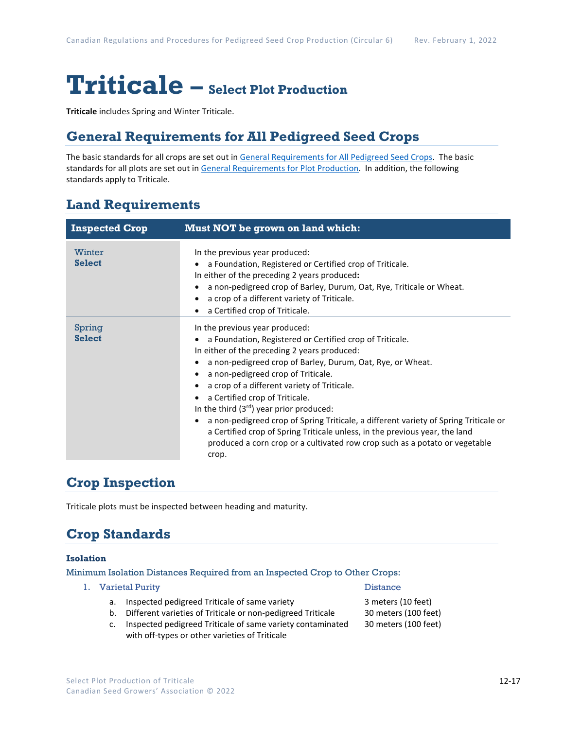# **Triticale – Select Plot Production**

**Triticale** includes Spring and Winter Triticale.

## **General Requirements for All Pedigreed Seed Crops**

The basic standards for all crops are set out i[n General Requirements for All Pedigreed Seed](https://seedgrowers.ca/wp-content/uploads/2020/01/GENERAL-REQUIREMENTS-ALL-CROPS_EN.pdf) Crops. The basic standards for all plots are set out i[n General Requirements for Plot Production.](https://seedgrowers.ca/wp-content/uploads/2020/01/GENERAL-REQUIREMENTS-PLOTS_EN.pdf) In addition, the following standards apply to Triticale.

# **Land Requirements**

| <b>Inspected Crop</b>   | <b>Must NOT be grown on land which:</b>                                                                                                                                                                                                                                                                                                                                                                                                                                                                                                                                                                                                        |
|-------------------------|------------------------------------------------------------------------------------------------------------------------------------------------------------------------------------------------------------------------------------------------------------------------------------------------------------------------------------------------------------------------------------------------------------------------------------------------------------------------------------------------------------------------------------------------------------------------------------------------------------------------------------------------|
| Winter<br><b>Select</b> | In the previous year produced:<br>a Foundation, Registered or Certified crop of Triticale.<br>In either of the preceding 2 years produced:<br>a non-pedigreed crop of Barley, Durum, Oat, Rye, Triticale or Wheat.<br>a crop of a different variety of Triticale.<br>a Certified crop of Triticale.                                                                                                                                                                                                                                                                                                                                            |
| Spring<br><b>Select</b> | In the previous year produced:<br>a Foundation, Registered or Certified crop of Triticale.<br>In either of the preceding 2 years produced:<br>a non-pedigreed crop of Barley, Durum, Oat, Rye, or Wheat.<br>a non-pedigreed crop of Triticale.<br>a crop of a different variety of Triticale.<br>a Certified crop of Triticale.<br>In the third $(3^{rd})$ year prior produced:<br>a non-pedigreed crop of Spring Triticale, a different variety of Spring Triticale or<br>a Certified crop of Spring Triticale unless, in the previous year, the land<br>produced a corn crop or a cultivated row crop such as a potato or vegetable<br>crop. |

# **Crop Inspection**

Triticale plots must be inspected between heading and maturity.

# **Crop Standards**

### **Isolation**

Minimum Isolation Distances Required from an Inspected Crop to Other Crops:

1. Varietal Purity Distance

- a. Inspected pedigreed Triticale of same variety 3 meters (10 feet)
- b. Different varieties of Triticale or non-pedigreed Triticale 30 meters (100 feet)
- c. Inspected pedigreed Triticale of same variety contaminated 30 meters (100 feet) with off-types or other varieties of Triticale